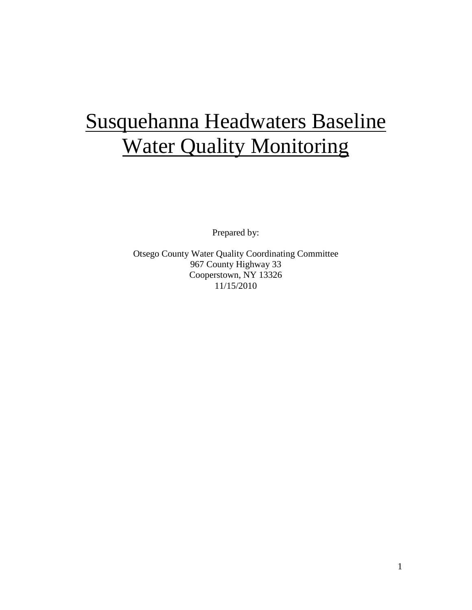# Susquehanna Headwaters Baseline **Water Quality Monitoring**

Prepared by:

Otsego County Water Quality Coordinating Committee 967 County Highway 33 Cooperstown, NY 13326 11/15/2010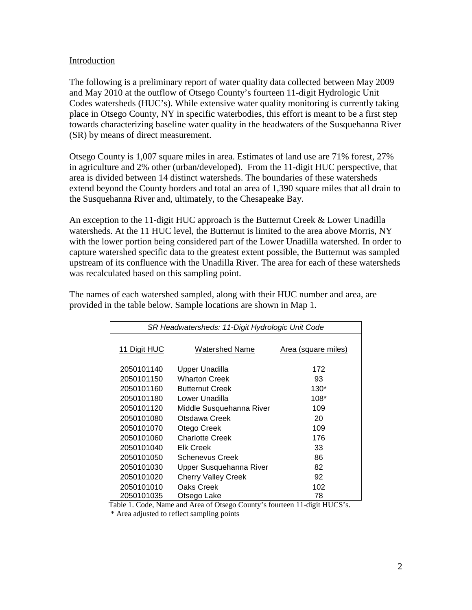#### Introduction

The following is a preliminary report of water quality data collected between May 2009 and May 2010 at the outflow of Otsego County's fourteen 11-digit Hydrologic Unit Codes watersheds (HUC's). While extensive water quality monitoring is currently taking place in Otsego County, NY in specific waterbodies, this effort is meant to be a first step towards characterizing baseline water quality in the headwaters of the Susquehanna River (SR) by means of direct measurement.

Otsego County is 1,007 square miles in area. Estimates of land use are 71% forest, 27% in agriculture and 2% other (urban/developed). From the 11-digit HUC perspective, that area is divided between 14 distinct watersheds. The boundaries of these watersheds extend beyond the County borders and total an area of 1,390 square miles that all drain to the Susquehanna River and, ultimately, to the Chesapeake Bay.

An exception to the 11-digit HUC approach is the Butternut Creek & Lower Unadilla watersheds. At the 11 HUC level, the Butternut is limited to the area above Morris, NY with the lower portion being considered part of the Lower Unadilla watershed. In order to capture watershed specific data to the greatest extent possible, the Butternut was sampled upstream of its confluence with the Unadilla River. The area for each of these watersheds was recalculated based on this sampling point.

The names of each watershed sampled, along with their HUC number and area, are provided in the table below. Sample locations are shown in Map 1.

| SR Headwatersheds: 11-Digit Hydrologic Unit Code |                            |                     |  |  |
|--------------------------------------------------|----------------------------|---------------------|--|--|
|                                                  |                            |                     |  |  |
| 11 Digit HUC                                     | Watershed Name             | Area (square miles) |  |  |
|                                                  |                            |                     |  |  |
| 2050101140                                       | Upper Unadilla             | 172                 |  |  |
| 2050101150                                       | <b>Wharton Creek</b>       | 93                  |  |  |
| 2050101160                                       | <b>Butternut Creek</b>     | $130*$              |  |  |
| 2050101180                                       | Lower Unadilla             | $108*$              |  |  |
| 2050101120                                       | Middle Susquehanna River   | 109                 |  |  |
| 2050101080                                       | Otsdawa Creek              | 20                  |  |  |
| 2050101070                                       | Otego Creek                | 109                 |  |  |
| 2050101060                                       | <b>Charlotte Creek</b>     | 176                 |  |  |
| 2050101040                                       | <b>Elk Creek</b>           | 33                  |  |  |
| 2050101050                                       | <b>Schenevus Creek</b>     | 86                  |  |  |
| 2050101030                                       | Upper Susquehanna River    | 82                  |  |  |
| 2050101020                                       | <b>Cherry Valley Creek</b> | 92                  |  |  |
| 2050101010                                       | Oaks Creek                 | 102                 |  |  |
| 2050101035                                       | Otsego Lake                | 78                  |  |  |

Table 1. Code, Name and Area of Otsego County's fourteen 11-digit HUCS's.

\* Area adjusted to reflect sampling points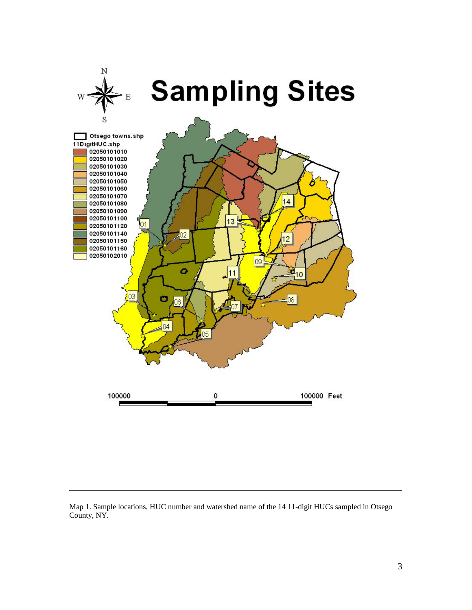

Map 1. Sample locations, HUC number and watershed name of the 14 11-digit HUCs sampled in Otsego County, NY.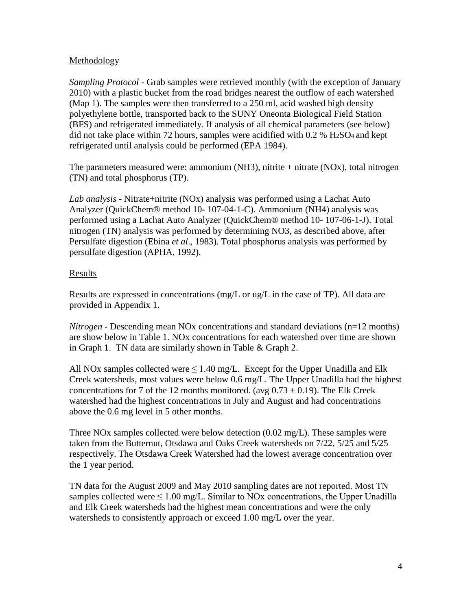# Methodology

*Sampling Protocol -* Grab samples were retrieved monthly (with the exception of January 2010) with a plastic bucket from the road bridges nearest the outflow of each watershed (Map 1). The samples were then transferred to a 250 ml, acid washed high density polyethylene bottle, transported back to the SUNY Oneonta Biological Field Station (BFS) and refrigerated immediately. If analysis of all chemical parameters (see below) did not take place within 72 hours, samples were acidified with 0.2 % H2SO4 and kept refrigerated until analysis could be performed (EPA 1984).

The parameters measured were: ammonium (NH3), nitrite  $+$  nitrate (NOx), total nitrogen (TN) and total phosphorus (TP).

*Lab analysis -* Nitrate+nitrite (NOx) analysis was performed using a Lachat Auto Analyzer (QuickChem® method 10- 107-04-1-C). Ammonium (NH4) analysis was performed using a Lachat Auto Analyzer (QuickChem® method 10- 107-06-1-J). Total nitrogen (TN) analysis was performed by determining NO3, as described above, after Persulfate digestion (Ebina *et al*., 1983). Total phosphorus analysis was performed by persulfate digestion (APHA, 1992).

# Results

Results are expressed in concentrations (mg/L or ug/L in the case of TP). All data are provided in Appendix 1.

*Nitrogen* - Descending mean NOx concentrations and standard deviations (n=12 months) are show below in Table 1. NOx concentrations for each watershed over time are shown in Graph 1. TN data are similarly shown in Table & Graph 2.

All NOx samples collected were  $\leq 1.40$  mg/L. Except for the Upper Unadilla and Elk Creek watersheds, most values were below 0.6 mg/L. The Upper Unadilla had the highest concentrations for 7 of the 12 months monitored. (avg  $0.73 \pm 0.19$ ). The Elk Creek watershed had the highest concentrations in July and August and had concentrations above the 0.6 mg level in 5 other months.

Three NOx samples collected were below detection (0.02 mg/L). These samples were taken from the Butternut, Otsdawa and Oaks Creek watersheds on 7/22, 5/25 and 5/25 respectively. The Otsdawa Creek Watershed had the lowest average concentration over the 1 year period.

TN data for the August 2009 and May 2010 sampling dates are not reported. Most TN samples collected were  $\leq 1.00$  mg/L. Similar to NOx concentrations, the Upper Unadilla and Elk Creek watersheds had the highest mean concentrations and were the only watersheds to consistently approach or exceed 1.00 mg/L over the year.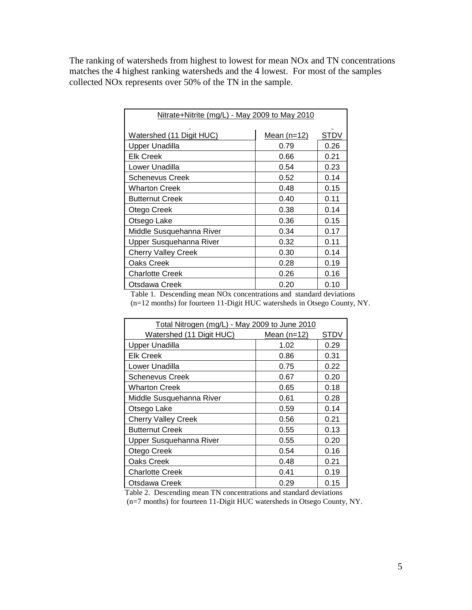The ranking of watersheds from highest to lowest for mean NOx and TN concentrations matches the 4 highest ranking watersheds and the 4 lowest. For most of the samples collected NOx represents over 50% of the TN in the sample.

| Nitrate+Nitrite (mg/L) - May 2009 to May 2010 |               |      |  |
|-----------------------------------------------|---------------|------|--|
| Watershed (11 Digit HUC)                      | Mean $(n=12)$ | STDV |  |
| <b>Upper Unadilla</b>                         | 0.79          | 0.26 |  |
| <b>Elk Creek</b>                              | 0.66          | 0.21 |  |
| Lower Unadilla                                | 0.54          | 0.23 |  |
| Schenevus Creek                               | 0.52          | 0.14 |  |
| <b>Wharton Creek</b>                          | 0.48          | 0.15 |  |
| <b>Butternut Creek</b>                        | 0.40          | 0.11 |  |
| Otego Creek                                   | 0.38          | 0.14 |  |
| Otsego Lake                                   | 0.36          | 0.15 |  |
| Middle Susquehanna River                      | 0.34          | 0.17 |  |
| Upper Susquehanna River                       | 0.32          | 0.11 |  |
| <b>Cherry Valley Creek</b>                    | 0.30          | 0.14 |  |
| Oaks Creek                                    | 0.28          | 0.19 |  |
| <b>Charlotte Creek</b>                        | 0.26          | 0.16 |  |
| Otsdawa Creek                                 | 0.20          | 0.10 |  |

 Table 1. Descending mean NOx concentrations and standard deviations (n=12 months) for fourteen 11-Digit HUC watersheds in Otsego County, NY.

| Total Nitrogen (mg/L) - May 2009 to June 2010 |               |      |  |
|-----------------------------------------------|---------------|------|--|
| Watershed (11 Digit HUC)                      | Mean $(n=12)$ | STDV |  |
| <b>Upper Unadilla</b>                         | 1.02          | 0.29 |  |
| <b>Elk Creek</b>                              | 0.86          | 0.31 |  |
| Lower Unadilla                                | 0.75          | 0.22 |  |
| <b>Schenevus Creek</b>                        | 0.67          | 0.20 |  |
| <b>Wharton Creek</b>                          | 0.65          | 0.18 |  |
| Middle Susquehanna River                      | 0.61          | 0.28 |  |
| Otsego Lake                                   | 0.59          | 0.14 |  |
| <b>Cherry Valley Creek</b>                    | 0.56          | 0.21 |  |
| <b>Butternut Creek</b>                        | 0.55          | 0.13 |  |
| Upper Susquehanna River                       | 0.55          | 0.20 |  |
| Otego Creek                                   | 0.54          | 0.16 |  |
| Oaks Creek                                    | 0.48          | 0.21 |  |
| <b>Charlotte Creek</b>                        | 0.41          | 0.19 |  |
| Otsdawa Creek                                 | 0.29          | 0.15 |  |

Table 2. Descending mean TN concentrations and standard deviations

(n=7 months) for fourteen 11-Digit HUC watersheds in Otsego County, NY.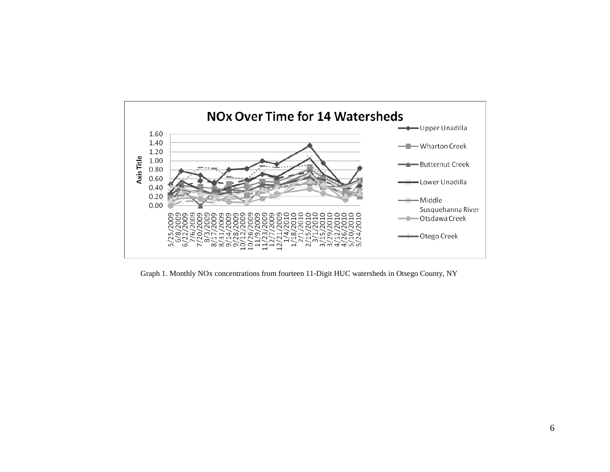

Graph 1. Monthly NOx concentrations from fourteen 11-Digit HUC watersheds in Otsego County, NY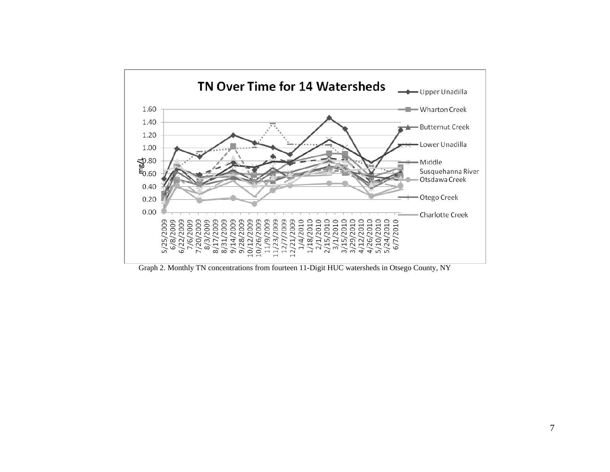

Graph 2. Monthly TN concentrations from fourteen 11-Digit HUC watersheds in Otsego County, NY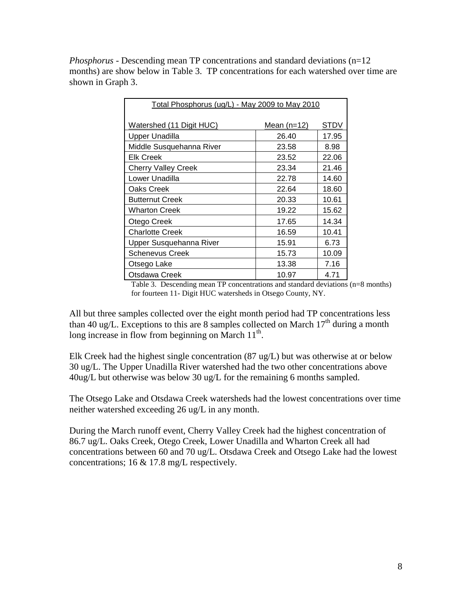*Phosphorus* - Descending mean TP concentrations and standard deviations (n=12) months) are show below in Table 3. TP concentrations for each watershed over time are shown in Graph 3.

| Total Phosphorus (ug/L) - May 2009 to May 2010 |               |       |  |
|------------------------------------------------|---------------|-------|--|
| Watershed (11 Digit HUC)                       | Mean $(n=12)$ | STDV  |  |
| <b>Upper Unadilla</b>                          | 26.40         | 17.95 |  |
| Middle Susquehanna River                       | 23.58         | 8.98  |  |
| <b>Elk Creek</b>                               | 23.52         | 22.06 |  |
| <b>Cherry Valley Creek</b>                     | 23.34         | 21.46 |  |
| Lower Unadilla                                 | 22.78         | 14.60 |  |
| Oaks Creek                                     | 22.64         | 18.60 |  |
| <b>Butternut Creek</b>                         | 20.33         | 10.61 |  |
| <b>Wharton Creek</b>                           | 19.22         | 15.62 |  |
| Otego Creek                                    | 17.65         | 14.34 |  |
| <b>Charlotte Creek</b>                         | 16.59         | 10.41 |  |
| Upper Susquehanna River                        | 15.91         | 6.73  |  |
| <b>Schenevus Creek</b>                         | 15.73         | 10.09 |  |
| Otsego Lake                                    | 13.38         | 7.16  |  |
| Otsdawa Creek                                  | 10.97         | 4.71  |  |

Table 3. Descending mean TP concentrations and standard deviations (n=8 months) for fourteen 11- Digit HUC watersheds in Otsego County, NY.

All but three samples collected over the eight month period had TP concentrations less than 40 ug/L. Exceptions to this are 8 samples collected on March  $17<sup>th</sup>$  during a month long increase in flow from beginning on March  $11<sup>th</sup>$ .

Elk Creek had the highest single concentration (87 ug/L) but was otherwise at or below 30 ug/L. The Upper Unadilla River watershed had the two other concentrations above 40ug/L but otherwise was below 30 ug/L for the remaining 6 months sampled.

The Otsego Lake and Otsdawa Creek watersheds had the lowest concentrations over time neither watershed exceeding 26 ug/L in any month.

During the March runoff event, Cherry Valley Creek had the highest concentration of 86.7 ug/L. Oaks Creek, Otego Creek, Lower Unadilla and Wharton Creek all had concentrations between 60 and 70 ug/L. Otsdawa Creek and Otsego Lake had the lowest concentrations; 16 & 17.8 mg/L respectively.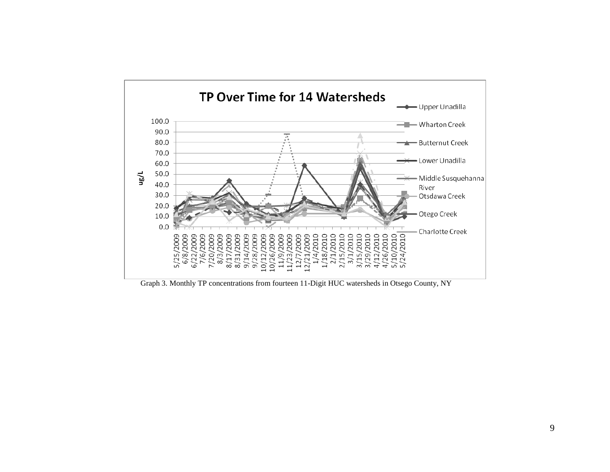

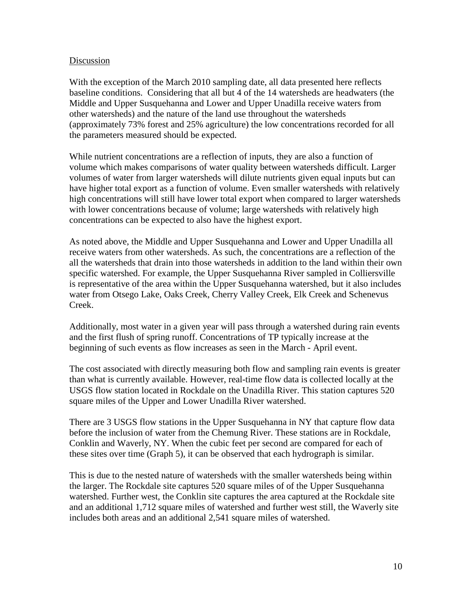#### Discussion

With the exception of the March 2010 sampling date, all data presented here reflects baseline conditions. Considering that all but 4 of the 14 watersheds are headwaters (the Middle and Upper Susquehanna and Lower and Upper Unadilla receive waters from other watersheds) and the nature of the land use throughout the watersheds (approximately 73% forest and 25% agriculture) the low concentrations recorded for all the parameters measured should be expected.

While nutrient concentrations are a reflection of inputs, they are also a function of volume which makes comparisons of water quality between watersheds difficult. Larger volumes of water from larger watersheds will dilute nutrients given equal inputs but can have higher total export as a function of volume. Even smaller watersheds with relatively high concentrations will still have lower total export when compared to larger watersheds with lower concentrations because of volume; large watersheds with relatively high concentrations can be expected to also have the highest export.

As noted above, the Middle and Upper Susquehanna and Lower and Upper Unadilla all receive waters from other watersheds. As such, the concentrations are a reflection of the all the watersheds that drain into those watersheds in addition to the land within their own specific watershed. For example, the Upper Susquehanna River sampled in Colliersville is representative of the area within the Upper Susquehanna watershed, but it also includes water from Otsego Lake, Oaks Creek, Cherry Valley Creek, Elk Creek and Schenevus Creek.

Additionally, most water in a given year will pass through a watershed during rain events and the first flush of spring runoff. Concentrations of TP typically increase at the beginning of such events as flow increases as seen in the March - April event.

The cost associated with directly measuring both flow and sampling rain events is greater than what is currently available. However, real-time flow data is collected locally at the USGS flow station located in Rockdale on the Unadilla River. This station captures 520 square miles of the Upper and Lower Unadilla River watershed.

There are 3 USGS flow stations in the Upper Susquehanna in NY that capture flow data before the inclusion of water from the Chemung River. These stations are in Rockdale, Conklin and Waverly, NY. When the cubic feet per second are compared for each of these sites over time (Graph 5), it can be observed that each hydrograph is similar.

This is due to the nested nature of watersheds with the smaller watersheds being within the larger. The Rockdale site captures 520 square miles of of the Upper Susquehanna watershed. Further west, the Conklin site captures the area captured at the Rockdale site and an additional 1,712 square miles of watershed and further west still, the Waverly site includes both areas and an additional 2,541 square miles of watershed.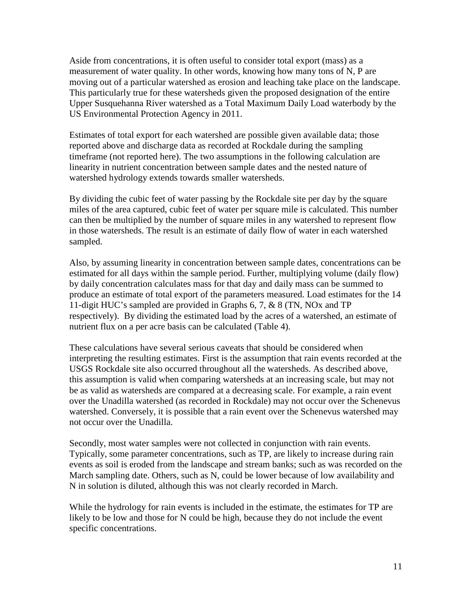Aside from concentrations, it is often useful to consider total export (mass) as a measurement of water quality. In other words, knowing how many tons of N, P are moving out of a particular watershed as erosion and leaching take place on the landscape. This particularly true for these watersheds given the proposed designation of the entire Upper Susquehanna River watershed as a Total Maximum Daily Load waterbody by the US Environmental Protection Agency in 2011.

Estimates of total export for each watershed are possible given available data; those reported above and discharge data as recorded at Rockdale during the sampling timeframe (not reported here). The two assumptions in the following calculation are linearity in nutrient concentration between sample dates and the nested nature of watershed hydrology extends towards smaller watersheds.

By dividing the cubic feet of water passing by the Rockdale site per day by the square miles of the area captured, cubic feet of water per square mile is calculated. This number can then be multiplied by the number of square miles in any watershed to represent flow in those watersheds. The result is an estimate of daily flow of water in each watershed sampled.

Also, by assuming linearity in concentration between sample dates, concentrations can be estimated for all days within the sample period. Further, multiplying volume (daily flow) by daily concentration calculates mass for that day and daily mass can be summed to produce an estimate of total export of the parameters measured. Load estimates for the 14 11-digit HUC's sampled are provided in Graphs 6, 7, & 8 (TN, NOx and TP respectively). By dividing the estimated load by the acres of a watershed, an estimate of nutrient flux on a per acre basis can be calculated (Table 4).

These calculations have several serious caveats that should be considered when interpreting the resulting estimates. First is the assumption that rain events recorded at the USGS Rockdale site also occurred throughout all the watersheds. As described above, this assumption is valid when comparing watersheds at an increasing scale, but may not be as valid as watersheds are compared at a decreasing scale. For example, a rain event over the Unadilla watershed (as recorded in Rockdale) may not occur over the Schenevus watershed. Conversely, it is possible that a rain event over the Schenevus watershed may not occur over the Unadilla.

Secondly, most water samples were not collected in conjunction with rain events. Typically, some parameter concentrations, such as TP, are likely to increase during rain events as soil is eroded from the landscape and stream banks; such as was recorded on the March sampling date. Others, such as N, could be lower because of low availability and N in solution is diluted, although this was not clearly recorded in March.

While the hydrology for rain events is included in the estimate, the estimates for TP are likely to be low and those for N could be high, because they do not include the event specific concentrations.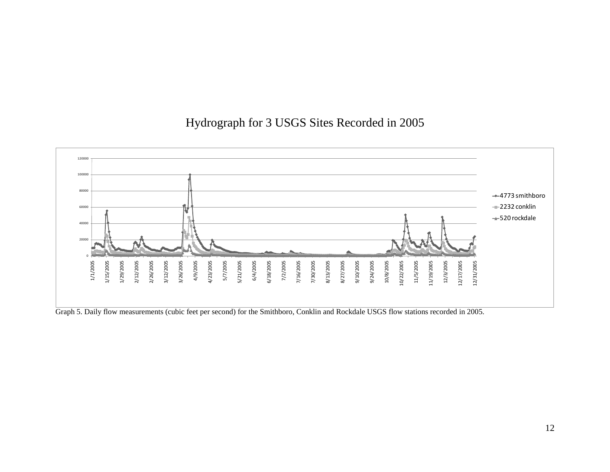# Hydrograph for 3 USGS Sites Recorded in 2005



Graph 5. Daily flow measurements (cubic feet per second) for the Smithboro, Conklin and Rockdale USGS flow stations recorded in 2005.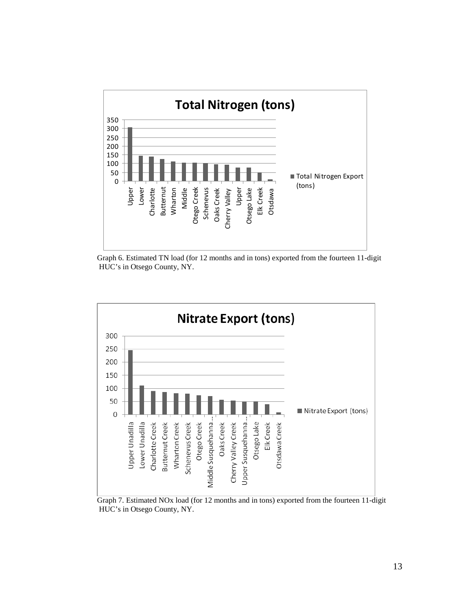

Graph 6. Estimated TN load (for 12 months and in tons) exported from the fourteen 11-digit HUC's in Otsego County, NY.



Graph 7. Estimated NOx load (for 12 months and in tons) exported from the fourteen 11-digit HUC's in Otsego County, NY.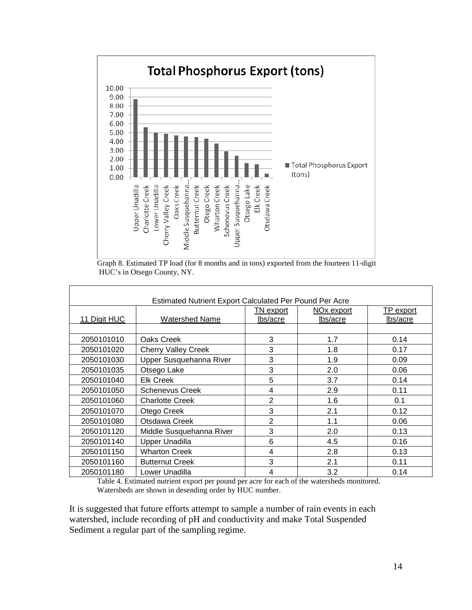

Graph 8. Estimated TP load (for 8 months and in tons) exported from the fourteen 11-digit HUC's in Otsego County, NY.

| <b>Estimated Nutrient Export Calculated Per Pound Per Acre</b> |                            |                |                        |                  |  |  |
|----------------------------------------------------------------|----------------------------|----------------|------------------------|------------------|--|--|
|                                                                |                            | TN export      | NO <sub>x</sub> export | <b>TP</b> export |  |  |
| 11 Digit HUC                                                   | <b>Watershed Name</b>      | lbs/acre       | lbs/acre               | lbs/acre         |  |  |
|                                                                |                            |                |                        |                  |  |  |
| 2050101010                                                     | Oaks Creek                 | 3              | 1.7                    | 0.14             |  |  |
| 2050101020                                                     | <b>Cherry Valley Creek</b> | 3              | 1.8                    | 0.17             |  |  |
| 2050101030                                                     | Upper Susquehanna River    | 3              | 1.9                    | 0.09             |  |  |
| 2050101035                                                     | Otsego Lake                | 3              | 2.0                    | 0.06             |  |  |
| 2050101040                                                     | <b>Elk Creek</b>           | 5              | 3.7                    | 0.14             |  |  |
| 2050101050                                                     | Schenevus Creek            | 4              | 2.9                    | 0.11             |  |  |
| 2050101060                                                     | <b>Charlotte Creek</b>     | $\overline{2}$ | 1.6                    | 0.1              |  |  |
| 2050101070                                                     | Otego Creek                | 3              | 2.1                    | 0.12             |  |  |
| 2050101080                                                     | Otsdawa Creek              | $\overline{2}$ | 1.1                    | 0.06             |  |  |
| 2050101120                                                     | Middle Susquehanna River   | 3              | 2.0                    | 0.13             |  |  |
| 2050101140                                                     | <b>Upper Unadilla</b>      | 6              | 4.5                    | 0.16             |  |  |
| 2050101150                                                     | <b>Wharton Creek</b>       | 4              | 2.8                    | 0.13             |  |  |
| 2050101160                                                     | <b>Butternut Creek</b>     | 3              | 2.1                    | 0.11             |  |  |
| 2050101180                                                     | Lower Unadilla             | 4              | 3.2                    | 0.14             |  |  |

Table 4. Estimated nutrient export per pound per acre for each of the watersheds monitored. Watersheds are shown in desending order by HUC number.

It is suggested that future efforts attempt to sample a number of rain events in each watershed, include recording of pH and conductivity and make Total Suspended Sediment a regular part of the sampling regime.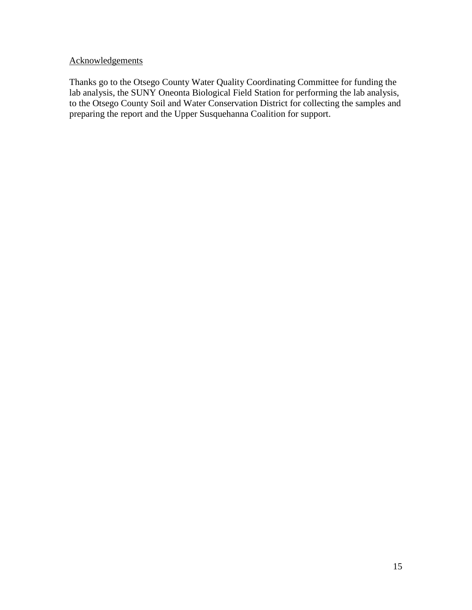# **Acknowledgements**

Thanks go to the Otsego County Water Quality Coordinating Committee for funding the lab analysis, the SUNY Oneonta Biological Field Station for performing the lab analysis, to the Otsego County Soil and Water Conservation District for collecting the samples and preparing the report and the Upper Susquehanna Coalition for support.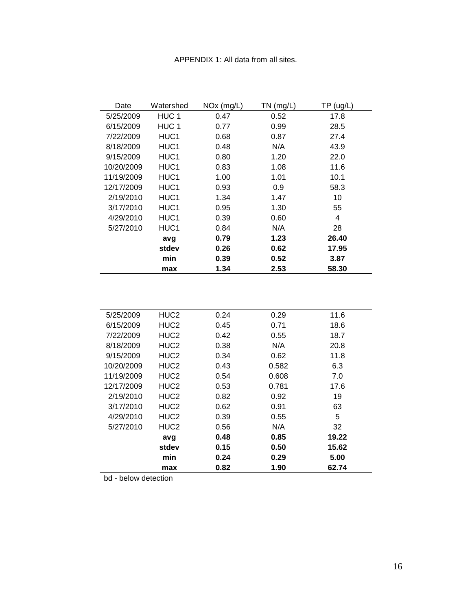#### APPENDIX 1: All data from all sites.

| Date       | Watershed | $NOx$ (mg/L) | $TN$ (mg/L) | TP(ug/L) |
|------------|-----------|--------------|-------------|----------|
| 5/25/2009  | HUC 1     | 0.47         | 0.52        | 17.8     |
| 6/15/2009  | HUC 1     | 0.77         | 0.99        | 28.5     |
| 7/22/2009  | HUC1      | 0.68         | 0.87        | 27.4     |
| 8/18/2009  | HUC1      | 0.48         | N/A         | 43.9     |
| 9/15/2009  | HUC1      | 0.80         | 1.20        | 22.0     |
| 10/20/2009 | HUC1      | 0.83         | 1.08        | 11.6     |
| 11/19/2009 | HUC1      | 1.00         | 1.01        | 10.1     |
| 12/17/2009 | HUC1      | 0.93         | 0.9         | 58.3     |
| 2/19/2010  | HUC1      | 1.34         | 1.47        | 10       |
| 3/17/2010  | HUC1      | 0.95         | 1.30        | 55       |
| 4/29/2010  | HUC1      | 0.39         | 0.60        | 4        |
| 5/27/2010  | HUC1      | 0.84         | N/A         | 28       |
|            | avg       | 0.79         | 1.23        | 26.40    |
|            | stdev     | 0.26         | 0.62        | 17.95    |
|            | min       | 0.39         | 0.52        | 3.87     |
|            | max       | 1.34         | 2.53        | 58.30    |

| 5/25/2009  | HUC <sub>2</sub> | 0.24 | 0.29  | 11.6  |
|------------|------------------|------|-------|-------|
| 6/15/2009  | HUC <sub>2</sub> | 0.45 | 0.71  | 18.6  |
| 7/22/2009  | HUC <sub>2</sub> | 0.42 | 0.55  | 18.7  |
| 8/18/2009  | HUC <sub>2</sub> | 0.38 | N/A   | 20.8  |
| 9/15/2009  | HUC <sub>2</sub> | 0.34 | 0.62  | 11.8  |
| 10/20/2009 | HUC <sub>2</sub> | 0.43 | 0.582 | 6.3   |
| 11/19/2009 | HUC <sub>2</sub> | 0.54 | 0.608 | 7.0   |
| 12/17/2009 | HUC <sub>2</sub> | 0.53 | 0.781 | 17.6  |
| 2/19/2010  | HUC <sub>2</sub> | 0.82 | 0.92  | 19    |
| 3/17/2010  | HUC <sub>2</sub> | 0.62 | 0.91  | 63    |
| 4/29/2010  | HUC <sub>2</sub> | 0.39 | 0.55  | 5     |
| 5/27/2010  | HUC <sub>2</sub> | 0.56 | N/A   | 32    |
|            | avg              | 0.48 | 0.85  | 19.22 |
|            | stdev            | 0.15 | 0.50  | 15.62 |
|            | min              | 0.24 | 0.29  | 5.00  |
|            | max              | 0.82 | 1.90  | 62.74 |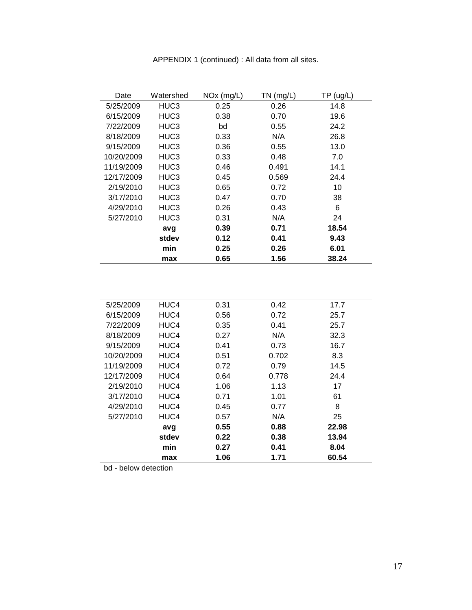| Date       | Watershed | $NOx$ (mg/L) | $TN$ (mg/L) | TP(ug/L) |
|------------|-----------|--------------|-------------|----------|
| 5/25/2009  | HUC3      | 0.25         | 0.26        | 14.8     |
| 6/15/2009  | HUC3      | 0.38         | 0.70        | 19.6     |
| 7/22/2009  | HUC3      | bd           | 0.55        | 24.2     |
| 8/18/2009  | HUC3      | 0.33         | N/A         | 26.8     |
| 9/15/2009  | HUC3      | 0.36         | 0.55        | 13.0     |
| 10/20/2009 | HUC3      | 0.33         | 0.48        | 7.0      |
| 11/19/2009 | HUC3      | 0.46         | 0.491       | 14.1     |
| 12/17/2009 | HUC3      | 0.45         | 0.569       | 24.4     |
| 2/19/2010  | HUC3      | 0.65         | 0.72        | 10       |
| 3/17/2010  | HUC3      | 0.47         | 0.70        | 38       |
| 4/29/2010  | HUC3      | 0.26         | 0.43        | 6        |
| 5/27/2010  | HUC3      | 0.31         | N/A         | 24       |
|            | avg       | 0.39         | 0.71        | 18.54    |
|            | stdev     | 0.12         | 0.41        | 9.43     |
|            | min       | 0.25         | 0.26        | 6.01     |
|            | max       | 0.65         | 1.56        | 38.24    |

| 5/25/2009  | HUC4  | 0.31 | 0.42  | 17.7  |
|------------|-------|------|-------|-------|
| 6/15/2009  | HUC4  | 0.56 | 0.72  | 25.7  |
| 7/22/2009  | HUC4  | 0.35 | 0.41  | 25.7  |
| 8/18/2009  | HUC4  | 0.27 | N/A   | 32.3  |
| 9/15/2009  | HUC4  | 0.41 | 0.73  | 16.7  |
| 10/20/2009 | HUC4  | 0.51 | 0.702 | 8.3   |
| 11/19/2009 | HUC4  | 0.72 | 0.79  | 14.5  |
| 12/17/2009 | HUC4  | 0.64 | 0.778 | 24.4  |
| 2/19/2010  | HUC4  | 1.06 | 1.13  | 17    |
| 3/17/2010  | HUC4  | 0.71 | 1.01  | 61    |
| 4/29/2010  | HUC4  | 0.45 | 0.77  | 8     |
| 5/27/2010  | HUC4  | 0.57 | N/A   | 25    |
|            | avg   | 0.55 | 0.88  | 22.98 |
|            | stdev | 0.22 | 0.38  | 13.94 |
|            | min   | 0.27 | 0.41  | 8.04  |
|            | max   | 1.06 | 1.71  | 60.54 |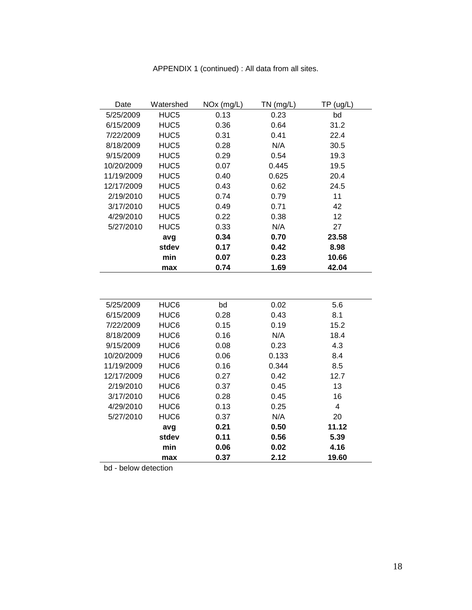| Date       | Watershed        | $NOx$ (mg/L) | $TN$ (mg/L) | TP(ug/L) |
|------------|------------------|--------------|-------------|----------|
| 5/25/2009  | HUC5             | 0.13         | 0.23        | bd       |
| 6/15/2009  | HUC <sub>5</sub> | 0.36         | 0.64        | 31.2     |
| 7/22/2009  | HUC5             | 0.31         | 0.41        | 22.4     |
| 8/18/2009  | HUC5             | 0.28         | N/A         | 30.5     |
| 9/15/2009  | HUC <sub>5</sub> | 0.29         | 0.54        | 19.3     |
| 10/20/2009 | HUC5             | 0.07         | 0.445       | 19.5     |
| 11/19/2009 | HUC5             | 0.40         | 0.625       | 20.4     |
| 12/17/2009 | HUC5             | 0.43         | 0.62        | 24.5     |
| 2/19/2010  | HUC <sub>5</sub> | 0.74         | 0.79        | 11       |
| 3/17/2010  | HUC5             | 0.49         | 0.71        | 42       |
| 4/29/2010  | HUC5             | 0.22         | 0.38        | 12       |
| 5/27/2010  | HUC5             | 0.33         | N/A         | 27       |
|            | avg              | 0.34         | 0.70        | 23.58    |
|            | stdev            | 0.17         | 0.42        | 8.98     |
|            | min              | 0.07         | 0.23        | 10.66    |
|            | max              | 0.74         | 1.69        | 42.04    |

| 5/25/2009  | HUC <sub>6</sub> | bd   | 0.02  | 5.6   |
|------------|------------------|------|-------|-------|
| 6/15/2009  | HUC6             | 0.28 | 0.43  | 8.1   |
| 7/22/2009  | HUC <sub>6</sub> | 0.15 | 0.19  | 15.2  |
| 8/18/2009  | HUC <sub>6</sub> | 0.16 | N/A   | 18.4  |
| 9/15/2009  | HUC <sub>6</sub> | 0.08 | 0.23  | 4.3   |
| 10/20/2009 | HUC <sub>6</sub> | 0.06 | 0.133 | 8.4   |
| 11/19/2009 | HUC <sub>6</sub> | 0.16 | 0.344 | 8.5   |
| 12/17/2009 | HUC6             | 0.27 | 0.42  | 12.7  |
| 2/19/2010  | HUC6             | 0.37 | 0.45  | 13    |
| 3/17/2010  | HUC <sub>6</sub> | 0.28 | 0.45  | 16    |
| 4/29/2010  | HUC <sub>6</sub> | 0.13 | 0.25  | 4     |
| 5/27/2010  | HUC6             | 0.37 | N/A   | 20    |
|            | avg              | 0.21 | 0.50  | 11.12 |
|            | stdev            | 0.11 | 0.56  | 5.39  |
|            | min              | 0.06 | 0.02  | 4.16  |
|            | max              | 0.37 | 2.12  | 19.60 |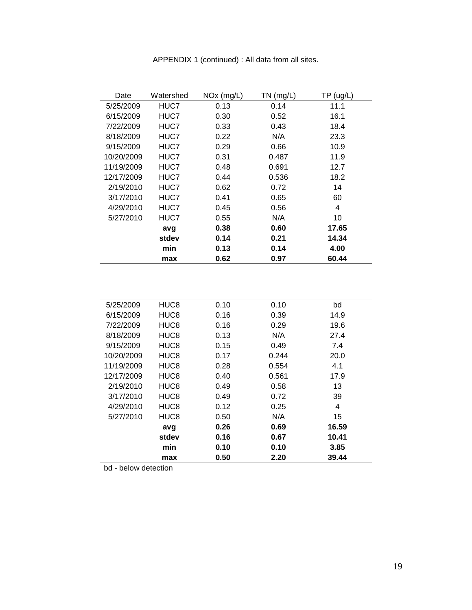| Date       | Watershed | NO <sub>x</sub> (mg/L) | $TN$ (mg/L) | TP (ug/L) |
|------------|-----------|------------------------|-------------|-----------|
| 5/25/2009  | HUC7      | 0.13                   | 0.14        | 11.1      |
| 6/15/2009  | HUC7      | 0.30                   | 0.52        | 16.1      |
| 7/22/2009  | HUC7      | 0.33                   | 0.43        | 18.4      |
| 8/18/2009  | HUC7      | 0.22                   | N/A         | 23.3      |
| 9/15/2009  | HUC7      | 0.29                   | 0.66        | 10.9      |
| 10/20/2009 | HUC7      | 0.31                   | 0.487       | 11.9      |
| 11/19/2009 | HUC7      | 0.48                   | 0.691       | 12.7      |
| 12/17/2009 | HUC7      | 0.44                   | 0.536       | 18.2      |
| 2/19/2010  | HUC7      | 0.62                   | 0.72        | 14        |
| 3/17/2010  | HUC7      | 0.41                   | 0.65        | 60        |
| 4/29/2010  | HUC7      | 0.45                   | 0.56        | 4         |
| 5/27/2010  | HUC7      | 0.55                   | N/A         | 10        |
|            | avg       | 0.38                   | 0.60        | 17.65     |
|            | stdev     | 0.14                   | 0.21        | 14.34     |
|            | min       | 0.13                   | 0.14        | 4.00      |
|            | max       | 0.62                   | 0.97        | 60.44     |

| APPENDIX 1 (continued) : All data from all sites. |  |  |  |  |  |
|---------------------------------------------------|--|--|--|--|--|
|---------------------------------------------------|--|--|--|--|--|

| 5/25/2009  | HUC8             | 0.10 | 0.10  | bd    |  |
|------------|------------------|------|-------|-------|--|
| 6/15/2009  | HUC8             | 0.16 | 0.39  | 14.9  |  |
| 7/22/2009  | HUC8             | 0.16 | 0.29  | 19.6  |  |
| 8/18/2009  | HUC <sub>8</sub> | 0.13 | N/A   | 27.4  |  |
| 9/15/2009  | HUC8             | 0.15 | 0.49  | 7.4   |  |
| 10/20/2009 | HUC8             | 0.17 | 0.244 | 20.0  |  |
| 11/19/2009 | HUC8             | 0.28 | 0.554 | 4.1   |  |
| 12/17/2009 | HUC8             | 0.40 | 0.561 | 17.9  |  |
| 2/19/2010  | HUC8             | 0.49 | 0.58  | 13    |  |
| 3/17/2010  | HUC8             | 0.49 | 0.72  | 39    |  |
| 4/29/2010  | HUC8             | 0.12 | 0.25  | 4     |  |
| 5/27/2010  | HUC8             | 0.50 | N/A   | 15    |  |
|            | avg              | 0.26 | 0.69  | 16.59 |  |
|            | stdev            | 0.16 | 0.67  | 10.41 |  |
|            | min              | 0.10 | 0.10  | 3.85  |  |
|            | max              | 0.50 | 2.20  | 39.44 |  |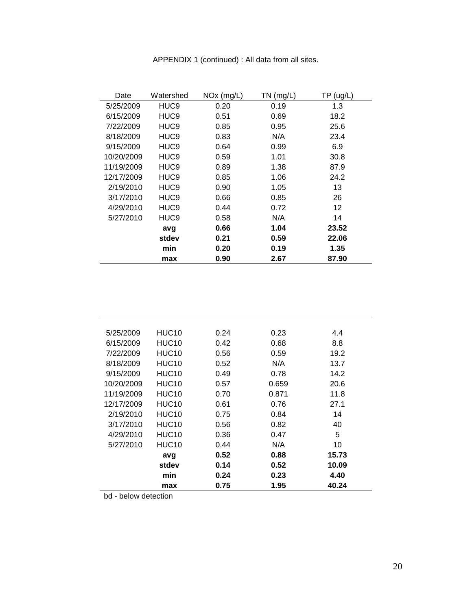| Date       | Watershed        | $NOx$ (mg/L) | $TN$ (mg/L) | TP(ug/L) |
|------------|------------------|--------------|-------------|----------|
| 5/25/2009  | HUC <sub>9</sub> | 0.20         | 0.19        | 1.3      |
| 6/15/2009  | HUC9             | 0.51         | 0.69        | 18.2     |
| 7/22/2009  | HUC9             | 0.85         | 0.95        | 25.6     |
| 8/18/2009  | HUC <sub>9</sub> | 0.83         | N/A         | 23.4     |
| 9/15/2009  | HUC <sub>9</sub> | 0.64         | 0.99        | 6.9      |
| 10/20/2009 | HUC9             | 0.59         | 1.01        | 30.8     |
| 11/19/2009 | HUC <sub>9</sub> | 0.89         | 1.38        | 87.9     |
| 12/17/2009 | HUC <sub>9</sub> | 0.85         | 1.06        | 24.2     |
| 2/19/2010  | HUC9             | 0.90         | 1.05        | 13       |
| 3/17/2010  | HUC9             | 0.66         | 0.85        | 26       |
| 4/29/2010  | HUC9             | 0.44         | 0.72        | 12       |
| 5/27/2010  | HUC9             | 0.58         | N/A         | 14       |
|            | avg              | 0.66         | 1.04        | 23.52    |
|            | stdev            | 0.21         | 0.59        | 22.06    |
|            | min              | 0.20         | 0.19        | 1.35     |
|            | max              | 0.90         | 2.67        | 87.90    |

| APPENDIX 1 (continued) : All data from all sites. |  |
|---------------------------------------------------|--|
|---------------------------------------------------|--|

| 5/25/2009  | HUC <sub>10</sub> | 0.24 | 0.23  | 4.4   |
|------------|-------------------|------|-------|-------|
| 6/15/2009  | HUC <sub>10</sub> | 0.42 | 0.68  | 8.8   |
| 7/22/2009  | HUC <sub>10</sub> | 0.56 | 0.59  | 19.2  |
| 8/18/2009  | HUC <sub>10</sub> | 0.52 | N/A   | 13.7  |
| 9/15/2009  | HUC <sub>10</sub> | 0.49 | 0.78  | 14.2  |
| 10/20/2009 | <b>HUC10</b>      | 0.57 | 0.659 | 20.6  |
| 11/19/2009 | HUC <sub>10</sub> | 0.70 | 0.871 | 11.8  |
| 12/17/2009 | HUC <sub>10</sub> | 0.61 | 0.76  | 27.1  |
| 2/19/2010  | HUC <sub>10</sub> | 0.75 | 0.84  | 14    |
| 3/17/2010  | HUC <sub>10</sub> | 0.56 | 0.82  | 40    |
| 4/29/2010  | HUC <sub>10</sub> | 0.36 | 0.47  | 5     |
| 5/27/2010  | HUC <sub>10</sub> | 0.44 | N/A   | 10    |
|            | avg               | 0.52 | 0.88  | 15.73 |
|            | stdev             | 0.14 | 0.52  | 10.09 |
|            | min               | 0.24 | 0.23  | 4.40  |
|            | max               | 0.75 | 1.95  | 40.24 |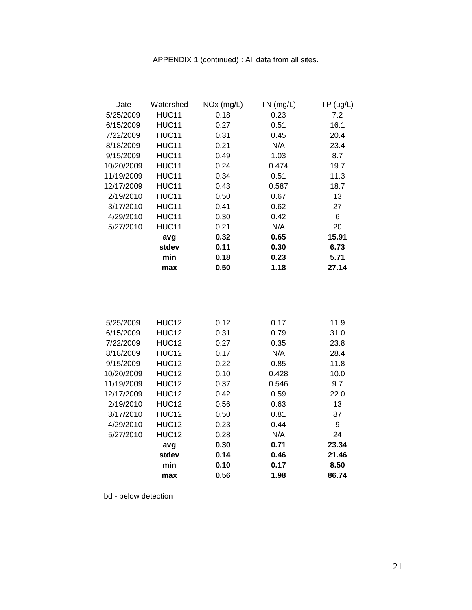| Date       | Watershed         | $NOx$ (mg/L) | $TN$ (mg/L) | TP (ug/L) |
|------------|-------------------|--------------|-------------|-----------|
| 5/25/2009  | HUC <sub>11</sub> | 0.18         | 0.23        | 7.2       |
| 6/15/2009  | HUC <sub>11</sub> | 0.27         | 0.51        | 16.1      |
| 7/22/2009  | HUC <sub>11</sub> | 0.31         | 0.45        | 20.4      |
| 8/18/2009  | HUC <sub>11</sub> | 0.21         | N/A         | 23.4      |
| 9/15/2009  | HUC <sub>11</sub> | 0.49         | 1.03        | 8.7       |
| 10/20/2009 | HUC <sub>11</sub> | 0.24         | 0.474       | 19.7      |
| 11/19/2009 | HUC11             | 0.34         | 0.51        | 11.3      |
| 12/17/2009 | HUC <sub>11</sub> | 0.43         | 0.587       | 18.7      |
| 2/19/2010  | HUC <sub>11</sub> | 0.50         | 0.67        | 13        |
| 3/17/2010  | HUC <sub>11</sub> | 0.41         | 0.62        | 27        |
| 4/29/2010  | HUC <sub>11</sub> | 0.30         | 0.42        | 6         |
| 5/27/2010  | HUC11             | 0.21         | N/A         | 20        |
|            | avg               | 0.32         | 0.65        | 15.91     |
|            | stdev             | 0.11         | 0.30        | 6.73      |
|            | min               | 0.18         | 0.23        | 5.71      |
|            | max               | 0.50         | 1.18        | 27.14     |

| 5/25/2009  | HUC <sub>12</sub> | 0.12 | 0.17  | 11.9  |
|------------|-------------------|------|-------|-------|
| 6/15/2009  | HUC <sub>12</sub> | 0.31 | 0.79  | 31.0  |
| 7/22/2009  | HUC <sub>12</sub> | 0.27 | 0.35  | 23.8  |
| 8/18/2009  | HUC <sub>12</sub> | 0.17 | N/A   | 28.4  |
| 9/15/2009  | HUC <sub>12</sub> | 0.22 | 0.85  | 11.8  |
| 10/20/2009 | HUC <sub>12</sub> | 0.10 | 0.428 | 10.0  |
| 11/19/2009 | HUC <sub>12</sub> | 0.37 | 0.546 | 9.7   |
| 12/17/2009 | HUC <sub>12</sub> | 0.42 | 0.59  | 22.0  |
| 2/19/2010  | HUC <sub>12</sub> | 0.56 | 0.63  | 13    |
| 3/17/2010  | HUC <sub>12</sub> | 0.50 | 0.81  | 87    |
| 4/29/2010  | HUC <sub>12</sub> | 0.23 | 0.44  | 9     |
| 5/27/2010  | HUC <sub>12</sub> | 0.28 | N/A   | 24    |
|            | avg               | 0.30 | 0.71  | 23.34 |
|            | stdev             | 0.14 | 0.46  | 21.46 |
|            | min               | 0.10 | 0.17  | 8.50  |
|            | max               | 0.56 | 1.98  | 86.74 |